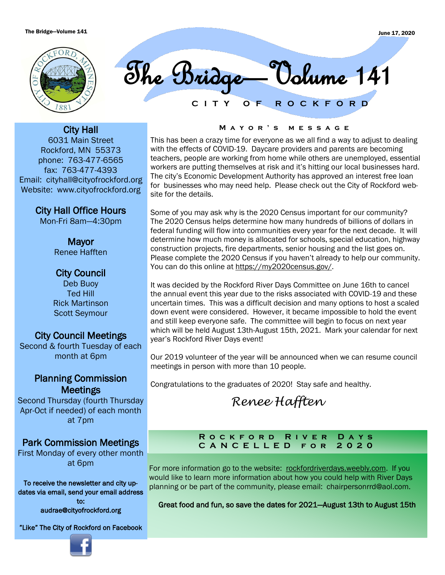

**C I T Y O F R O C K F O R D** The Bridge—Volume 141

City Hall 6031 Main Street Rockford, MN 55373 phone: 763-477-6565 fax: 763-477-4393 Email: cityhall@cityofrockford.org Website: www.cityofrockford.org

City Hall Office Hours

Mon-Fri 8am—4:30pm

Mayor Renee Hafften

# City Council

Deb Buoy Ted Hill Rick Martinson Scott Seymour

# City Council Meetings

Second & fourth Tuesday of each month at 6pm

# Planning Commission **Meetings**

Second Thursday (fourth Thursday Apr-Oct if needed) of each month at 7pm

# Park Commission Meetings

First Monday of every other month at 6pm

To receive the newsletter and city updates via email, send your email address to:

audrae@cityofrockford.org

"Like" The City of Rockford on Facebook



## **M a y o r ' s m e s s a g e**

This has been a crazy time for everyone as we all find a way to adjust to dealing with the effects of COVID-19. Daycare providers and parents are becoming teachers, people are working from home while others are unemployed, essential workers are putting themselves at risk and it's hitting our local businesses hard. The city's Economic Development Authority has approved an interest free loan for businesses who may need help. Please check out the City of Rockford website for the details.

Some of you may ask why is the 2020 Census important for our community? The 2020 Census helps determine how many hundreds of billions of dollars in federal funding will flow into communities every year for the next decade. It will determine how much money is allocated for schools, special education, highway construction projects, fire departments, senior housing and the list goes on. Please complete the 2020 Census if you haven't already to help our community. You can do this online at [https://my2020census.gov/.](https://my2020census.gov/)

It was decided by the Rockford River Days Committee on June 16th to cancel the annual event this year due to the risks associated with COVID-19 and these uncertain times. This was a difficult decision and many options to host a scaled down event were considered. However, it became impossible to hold the event and still keep everyone safe. The committee will begin to focus on next year which will be held August 13th-August 15th, 2021. Mark your calendar for next year's Rockford River Days event!

Our 2019 volunteer of the year will be announced when we can resume council meetings in person with more than 10 people.

Congratulations to the graduates of 2020! Stay safe and healthy.

*Renee Hafften*

# **R o c k f o r d R i v e r D a y s C A N C E L L E D f o r 2 0 2 0**

For more information go to the website: rockfordriverdays.weebly.com. If you would like to learn more information about how you could help with River Days planning or be part of the community, please email: chairpersonrrd@aol.com.

Great food and fun, so save the dates for 2021—August 13th to August 15th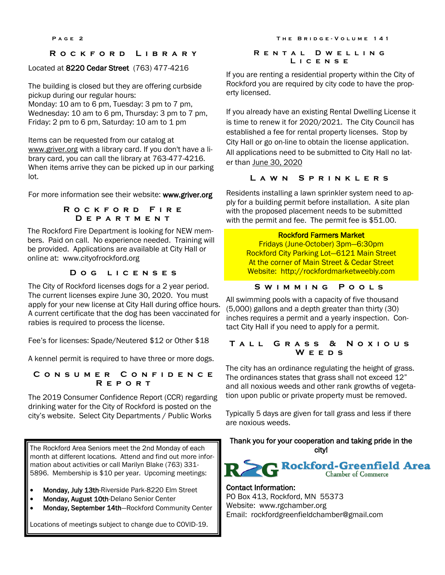# **R o c k f o r d L i b r a r y**

# Located at 8220 Cedar Street (763) 477-4216

The building is closed but they are offering curbside pickup during our regular hours:

Monday: 10 am to 6 pm, Tuesday: 3 pm to 7 pm, Wednesday: 10 am to 6 pm, Thursday: 3 pm to 7 pm. Friday: 2 pm to 6 pm, Saturday: 10 am to 1 pm

Items can be requested from our catalog at [www.griver.org](http://www.griver.org) with a library card. If you don't have a library card, you can call the library at 763-477-4216. When items arrive they can be picked up in our parking lot.

For more information see their website: www.griver.org

### **R o c k f o r d F i r e D e p a r t m e n t**

The Rockford Fire Department is looking for NEW members. Paid on call. No experience needed. Training will be provided. Applications are available at City Hall or online at: www.cityofrockford.org

# **D o g l i c e n s e s**

The City of Rockford licenses dogs for a 2 year period. The current licenses expire June 30, 2020. You must apply for your new license at City Hall during office hours. A current certificate that the dog has been vaccinated for rabies is required to process the license.

Fee's for licenses: Spade/Neutered \$12 or Other \$18

A kennel permit is required to have three or more dogs.

**C o n s u m e r C o n f i d e n c e R e p o r t**

The 2019 Consumer Confidence Report (CCR) regarding drinking water for the City of Rockford is posted on the city's website. Select City Departments / Public Works

The Rockford Area Seniors meet the 2nd Monday of each month at different locations. Attend and find out more information about activities or call Marilyn Blake (763) 331- 5896. Membership is \$10 per year. Upcoming meetings:

- Monday, July 13th-Riverside Park-8220 Elm Street
- Monday, August 10th-Delano Senior Center
- Monday, September 14th-Rockford Community Center

Locations of meetings subject to change due to COVID-19.

#### **P** A G E 2 **THE BRIDGE-VOLUME 141**

### **R e n t a l D w e l l i n g L i c e n s e**

If you are renting a residential property within the City of Rockford you are required by city code to have the property licensed.

If you already have an existing Rental Dwelling License it is time to renew it for 2020/2021. The City Council has established a fee for rental property licenses. Stop by City Hall or go on-line to obtain the license application. All applications need to be submitted to City Hall no later than June 30, 2020

# **L a w n S p r i n k l e r s**

Residents installing a lawn sprinkler system need to apply for a building permit before installation. A site plan with the proposed placement needs to be submitted with the permit and fee. The permit fee is \$51.00.

## Rockford Farmers Market

Fridays (June-October) 3pm—6:30pm Rockford City Parking Lot—6121 Main Street At the corner of Main Street & Cedar Street Website: http://rockfordmarketweebly.com

# **S w i m m i n g P o o l s**

All swimming pools with a capacity of five thousand (5,000) gallons and a depth greater than thirty (30) inches requires a permit and a yearly inspection. Contact City Hall if you need to apply for a permit.

# **T a l l G r a s s & N o x i o u s W e e d s**

The city has an ordinance regulating the height of grass. The ordinances states that grass shall not exceed 12" and all noxious weeds and other rank growths of vegetation upon public or private property must be removed.

Typically 5 days are given for tall grass and less if there are noxious weeds.

# Thank you for your cooperation and taking pride in the city!



# Contact Information:

PO Box 413, Rockford, MN 55373 Website: www.rgchamber.org Email: [rockfordgreenfieldchamber@gmail.com](mailto:rockfordgreenfieldchamber@gmail.com)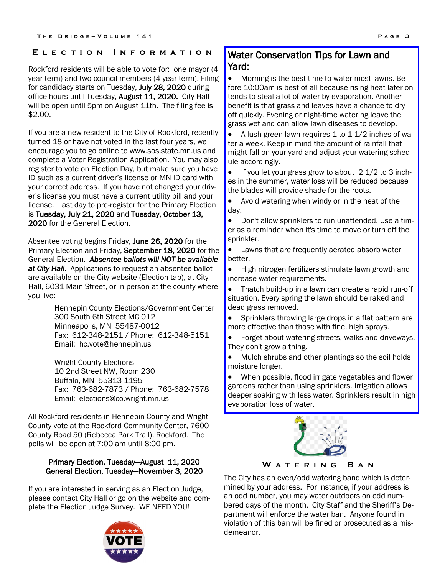Rockford residents will be able to vote for: one mayor (4 year term) and two council members (4 year term). Filing for candidacy starts on Tuesday, July 28, 2020 during office hours until Tuesday, August 11, 2020. City Hall will be open until 5pm on August 11th. The filing fee is \$2.00.

If you are a new resident to the City of Rockford, recently turned 18 or have not voted in the last four years, we encourage you to go online to www.sos.state.mn.us and complete a Voter Registration Application. You may also register to vote on Election Day, but make sure you have ID such as a current driver's license or MN ID card with your correct address. If you have not changed your driver's license you must have a current utility bill and your license. Last day to pre-register for the Primary Election is Tuesday, July 21, 2020 and Tuesday, October 13, 2020 for the General Election.

Absentee voting begins Friday, June 26, 2020 for the Primary Election and Friday, September 18, 2020 for the General Election. *Absentee ballots will NOT be available at City Hall.* Applications to request an absentee ballot are available on the City website (Election tab), at City Hall, 6031 Main Street, or in person at the county where you live:

> Hennepin County Elections/Government Center 300 South 6th Street MC 012 Minneapolis, MN 55487-0012 Fax: 612-348-2151 / Phone: 612-348-5151 Email: hc.vote@hennepin.us

Wright County Elections 10 2nd Street NW, Room 230 Buffalo, MN 55313-1195 Fax: 763-682-7873 / Phone: 763-682-7578 Email: elections@co.wright.mn.us

All Rockford residents in Hennepin County and Wright County vote at the Rockford Community Center, 7600 County Road 50 (Rebecca Park Trail), Rockford. The polls will be open at 7:00 am until 8:00 pm.

# Primary Election, Tuesday—August 11, 2020 General Election, Tuesday—November 3, 2020

If you are interested in serving as an Election Judge, please contact City Hall or go on the website and complete the Election Judge Survey. WE NEED YOU!



# **E l e c t i o n I n f o r m a t i o n** Water Conservation Tips for Lawn and Yard:

• Morning is the best time to water most lawns. Before 10:00am is best of all because rising heat later on tends to steal a lot of water by evaporation. Another benefit is that grass and leaves have a chance to dry off quickly. Evening or night-time watering leave the grass wet and can allow lawn diseases to develop.

• A lush green lawn requires 1 to 1 1/2 inches of water a week. Keep in mind the amount of rainfall that might fall on your yard and adjust your watering schedule accordingly.

If you let your grass grow to about  $2 \frac{1}{2}$  to 3 inches in the summer, water loss will be reduced because the blades will provide shade for the roots.

• Avoid watering when windy or in the heat of the day.

• Don't allow sprinklers to run unattended. Use a timer as a reminder when it's time to move or turn off the sprinkler.

• Lawns that are frequently aerated absorb water better.

• High nitrogen fertilizers stimulate lawn growth and increase water requirements.

• Thatch build-up in a lawn can create a rapid run-off situation. Every spring the lawn should be raked and dead grass removed.

• Sprinklers throwing large drops in a flat pattern are more effective than those with fine, high sprays.

• Forget about watering streets, walks and driveways. They don't grow a thing.

• Mulch shrubs and other plantings so the soil holds moisture longer.

• When possible, flood irrigate vegetables and flower gardens rather than using sprinklers. Irrigation allows deeper soaking with less water. Sprinklers result in high evaporation loss of water.



**W a t e r i n g B a n**

The City has an even/odd watering band which is determined by your address. For instance, if your address is an odd number, you may water outdoors on odd numbered days of the month. City Staff and the Sheriff's Department will enforce the water ban. Anyone found in violation of this ban will be fined or prosecuted as a misdemeanor.